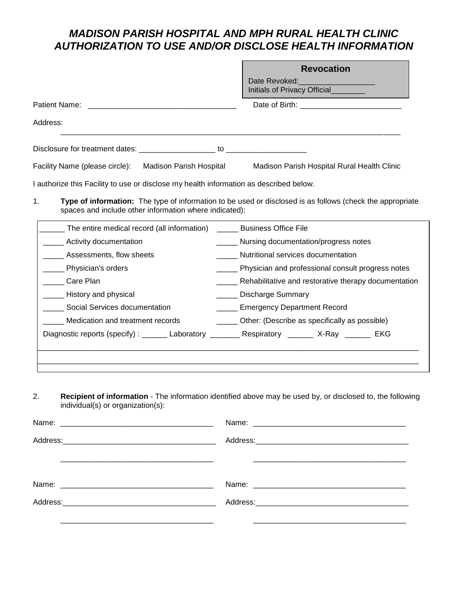# *MADISON PARISH HOSPITAL AND MPH RURAL HEALTH CLINIC AUTHORIZATION TO USE AND/OR DISCLOSE HEALTH INFORMATION*

|                                                                                        | <b>Revocation</b>                                                                                         |  |  |
|----------------------------------------------------------------------------------------|-----------------------------------------------------------------------------------------------------------|--|--|
|                                                                                        | Date Revoked: Management Patent Proposed:<br>Initials of Privacy Official                                 |  |  |
|                                                                                        |                                                                                                           |  |  |
| Address:                                                                               |                                                                                                           |  |  |
|                                                                                        |                                                                                                           |  |  |
| Facility Name (please circle): Madison Parish Hospital                                 | Madison Parish Hospital Rural Health Clinic                                                               |  |  |
| I authorize this Facility to use or disclose my health information as described below. |                                                                                                           |  |  |
| 1.<br>spaces and include other information where indicated):                           | Type of information: The type of information to be used or disclosed is as follows (check the appropriate |  |  |
| The entire medical record (all information) ________ Business Office File              |                                                                                                           |  |  |
| ___ Activity documentation                                                             | _____ Nursing documentation/progress notes                                                                |  |  |
| ___ Assessments, flow sheets                                                           | Nutritional services documentation                                                                        |  |  |
| Physician's orders                                                                     | ____ Physician and professional consult progress notes                                                    |  |  |
| Care Plan                                                                              | ____ Rehabilitative and restorative therapy documentation                                                 |  |  |
| ____ History and physical                                                              | <b>Discharge Summary</b>                                                                                  |  |  |

| Social Services documentation | <b>Emergency Department Record</b> |
|-------------------------------|------------------------------------|
|                               |                                    |

\_\_\_\_\_ Medication and treatment records \_\_\_\_\_ Other: (Describe as specifically as possible)

| $\sim$<br>Diagnostic reports<br>(Specity) | 11 T<br>___ | ירי |  |
|-------------------------------------------|-------------|-----|--|
|                                           |             |     |  |

 $\mathcal{L}_\mathcal{L} = \{ \mathcal{L}_\mathcal{L} = \{ \mathcal{L}_\mathcal{L} = \{ \mathcal{L}_\mathcal{L} = \{ \mathcal{L}_\mathcal{L} = \{ \mathcal{L}_\mathcal{L} = \{ \mathcal{L}_\mathcal{L} = \{ \mathcal{L}_\mathcal{L} = \{ \mathcal{L}_\mathcal{L} = \{ \mathcal{L}_\mathcal{L} = \{ \mathcal{L}_\mathcal{L} = \{ \mathcal{L}_\mathcal{L} = \{ \mathcal{L}_\mathcal{L} = \{ \mathcal{L}_\mathcal{L} = \{ \mathcal{L}_\mathcal{$ 

2. **Recipient of information** - The information identified above may be used by, or disclosed to, the following individual(s) or organization(s):

| and the state of the state of the state of the state of the state of the state of the state of the |                                                                                                     |
|----------------------------------------------------------------------------------------------------|-----------------------------------------------------------------------------------------------------|
|                                                                                                    |                                                                                                     |
|                                                                                                    |                                                                                                     |
|                                                                                                    | Address: Andreas Address: Address: Address: Address: Address: Address: Address: Address: Address: A |
|                                                                                                    |                                                                                                     |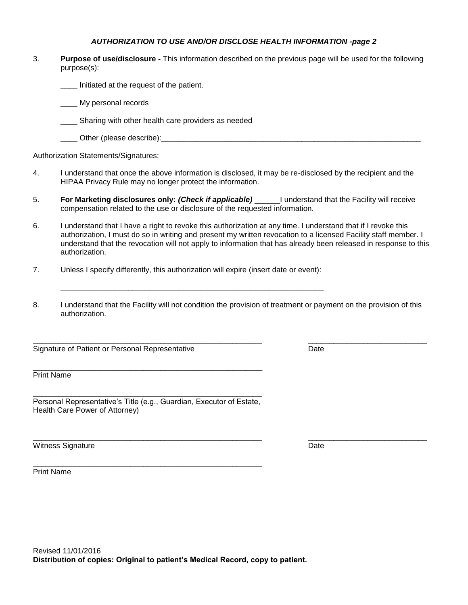#### *AUTHORIZATION TO USE AND/OR DISCLOSE HEALTH INFORMATION -page 2*

3. **Purpose of use/disclosure -** This information described on the previous page will be used for the following purpose(s):

\_\_\_\_ Initiated at the request of the patient.

My personal records

\_\_\_\_ Sharing with other health care providers as needed

\_\_\_\_\_\_ Other (please describe):

Authorization Statements/Signatures:

- 4. I understand that once the above information is disclosed, it may be re-disclosed by the recipient and the HIPAA Privacy Rule may no longer protect the information.
- 5. **For Marketing disclosures only:** *(Check if applicable)* \_\_\_\_\_\_I understand that the Facility will receive compensation related to the use or disclosure of the requested information.
- 6. I understand that I have a right to revoke this authorization at any time. I understand that if I revoke this authorization, I must do so in writing and present my written revocation to a licensed Facility staff member. I understand that the revocation will not apply to information that has already been released in response to this authorization.
- 7. Unless I specify differently, this authorization will expire (insert date or event):

\_\_\_\_\_\_\_\_\_\_\_\_\_\_\_\_\_\_\_\_\_\_\_\_\_\_\_\_\_\_\_\_\_\_\_\_\_\_\_\_\_\_\_\_\_\_\_\_\_\_\_\_\_\_\_\_\_\_\_\_\_\_

8. I understand that the Facility will not condition the provision of treatment or payment on the provision of this authorization.

Signature of Patient or Personal Representative **Date** Date

Print Name

\_\_\_\_\_\_\_\_\_\_\_\_\_\_\_\_\_\_\_\_\_\_\_\_\_\_\_\_\_\_\_\_\_\_\_\_\_\_\_\_\_\_\_\_\_\_\_\_\_\_\_\_\_\_ Personal Representative's Title (e.g., Guardian, Executor of Estate, Health Care Power of Attorney)

\_\_\_\_\_\_\_\_\_\_\_\_\_\_\_\_\_\_\_\_\_\_\_\_\_\_\_\_\_\_\_\_\_\_\_\_\_\_\_\_\_\_\_\_\_\_\_\_\_\_\_\_\_\_

\_\_\_\_\_\_\_\_\_\_\_\_\_\_\_\_\_\_\_\_\_\_\_\_\_\_\_\_\_\_\_\_\_\_\_\_\_\_\_\_\_\_\_\_\_\_\_\_\_\_\_\_\_\_

Witness Signature Date Communications and the Date Date Date Date Date

Print Name



\_\_\_\_\_\_\_\_\_\_\_\_\_\_\_\_\_\_\_\_\_\_\_\_\_\_\_\_\_\_\_\_\_\_\_\_\_\_\_\_\_\_\_\_\_\_\_\_\_\_\_\_\_\_ \_\_\_\_\_\_\_\_\_\_\_\_\_\_\_\_\_\_\_\_\_\_\_\_\_\_\_\_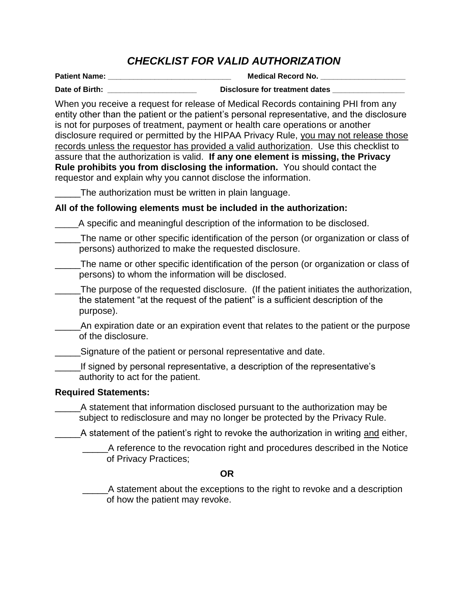# *CHECKLIST FOR VALID AUTHORIZATION*

**Patient Name: \_\_\_\_\_\_\_\_\_\_\_\_\_\_\_\_\_\_\_\_\_\_\_\_\_\_\_\_\_ Medical Record No. \_\_\_\_\_\_\_\_\_\_\_\_\_\_\_\_\_\_\_\_ Date of Birth: Disclosure for treatment dates Disclosure for treatment dates** 

When you receive a request for release of Medical Records containing PHI from any entity other than the patient or the patient's personal representative, and the disclosure is not for purposes of treatment, payment or health care operations or another disclosure required or permitted by the HIPAA Privacy Rule, you may not release those records unless the requestor has provided a valid authorization. Use this checklist to assure that the authorization is valid. **If any one element is missing, the Privacy Rule prohibits you from disclosing the information.** You should contact the requestor and explain why you cannot disclose the information.

The authorization must be written in plain language.

## **All of the following elements must be included in the authorization:**

\_\_\_\_\_A specific and meaningful description of the information to be disclosed.

- \_\_\_\_\_The name or other specific identification of the person (or organization or class of persons) authorized to make the requested disclosure.
- \_\_\_\_\_The name or other specific identification of the person (or organization or class of persons) to whom the information will be disclosed.
- The purpose of the requested disclosure. (If the patient initiates the authorization, the statement "at the request of the patient" is a sufficient description of the purpose).
- An expiration date or an expiration event that relates to the patient or the purpose of the disclosure.
- \_\_\_\_\_Signature of the patient or personal representative and date.
- If signed by personal representative, a description of the representative's authority to act for the patient.

# **Required Statements:**

\_\_\_\_\_A statement that information disclosed pursuant to the authorization may be subject to redisclosure and may no longer be protected by the Privacy Rule.

A statement of the patient's right to revoke the authorization in writing and either,

\_\_\_\_\_A reference to the revocation right and procedures described in the Notice of Privacy Practices;

### **OR**

\_\_\_\_\_A statement about the exceptions to the right to revoke and a description of how the patient may revoke.